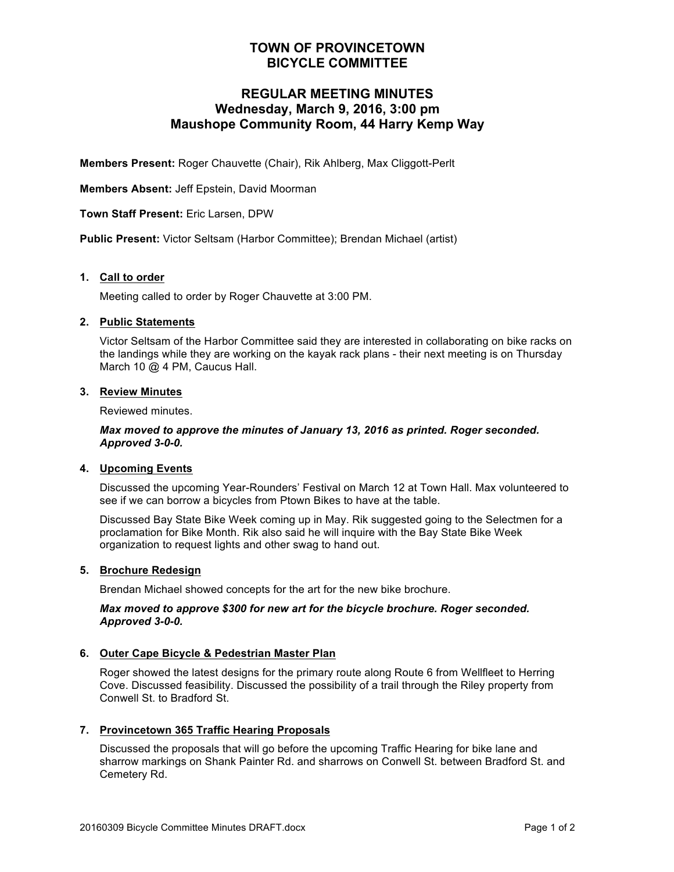## **TOWN OF PROVINCETOWN BICYCLE COMMITTEE**

## **REGULAR MEETING MINUTES Wednesday, March 9, 2016, 3:00 pm Maushope Community Room, 44 Harry Kemp Way**

**Members Present:** Roger Chauvette (Chair), Rik Ahlberg, Max Cliggott-Perlt

**Members Absent:** Jeff Epstein, David Moorman

**Town Staff Present:** Eric Larsen, DPW

**Public Present:** Victor Seltsam (Harbor Committee); Brendan Michael (artist)

#### **1. Call to order**

Meeting called to order by Roger Chauvette at 3:00 PM.

#### **2. Public Statements**

Victor Seltsam of the Harbor Committee said they are interested in collaborating on bike racks on the landings while they are working on the kayak rack plans - their next meeting is on Thursday March 10 @ 4 PM, Caucus Hall.

### **3. Review Minutes**

Reviewed minutes.

*Max moved to approve the minutes of January 13, 2016 as printed. Roger seconded. Approved 3-0-0.*

#### **4. Upcoming Events**

Discussed the upcoming Year-Rounders' Festival on March 12 at Town Hall. Max volunteered to see if we can borrow a bicycles from Ptown Bikes to have at the table.

Discussed Bay State Bike Week coming up in May. Rik suggested going to the Selectmen for a proclamation for Bike Month. Rik also said he will inquire with the Bay State Bike Week organization to request lights and other swag to hand out.

#### **5. Brochure Redesign**

Brendan Michael showed concepts for the art for the new bike brochure.

#### *Max moved to approve \$300 for new art for the bicycle brochure. Roger seconded. Approved 3-0-0.*

#### **6. Outer Cape Bicycle & Pedestrian Master Plan**

Roger showed the latest designs for the primary route along Route 6 from Wellfleet to Herring Cove. Discussed feasibility. Discussed the possibility of a trail through the Riley property from Conwell St. to Bradford St.

#### **7. Provincetown 365 Traffic Hearing Proposals**

Discussed the proposals that will go before the upcoming Traffic Hearing for bike lane and sharrow markings on Shank Painter Rd. and sharrows on Conwell St. between Bradford St. and Cemetery Rd.